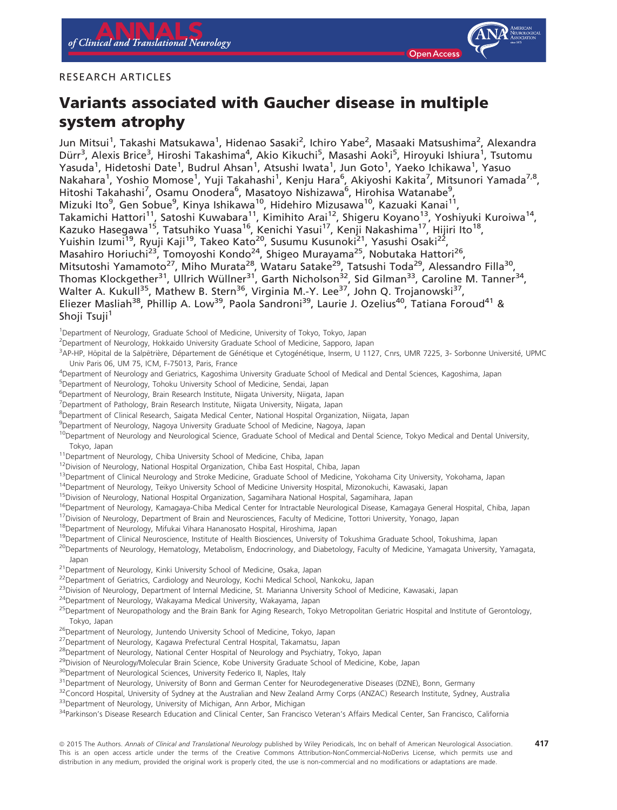## RESEARCH ARTICLES

# Variants associated with Gaucher disease in multiple system atrophy

Jun Mitsui<sup>1</sup>, Takashi Matsukawa<sup>1</sup>, Hidenao Sasaki<sup>2</sup>, Ichiro Yabe<sup>2</sup>, Masaaki Matsushima<sup>2</sup>, Alexandra Dürr<sup>3</sup>, Alexis Brice<sup>3</sup>, Hiroshi Takashima<sup>4</sup>, Akio Kikuchi<sup>5</sup>, Masashi Aoki<sup>5</sup>, Hiroyuki Ishiura<sup>1</sup>, Tsutomu Yasuda<sup>1</sup>, Hidetoshi Date<sup>1</sup>, Budrul Ahsan<sup>1</sup>, Atsushi Iwata<sup>1</sup>, Jun Goto<sup>1</sup>, Yaeko Ichikawa<sup>1</sup>, Yasuo Nakahara<sup>1</sup>, Yoshio Momose<sup>1</sup>, Yuji Takahashi<sup>1</sup>, Kenju Hara<sup>6</sup>, Akiyoshi Kakita<sup>7</sup>, Mitsunori Yamada<sup>7,8</sup>, Hitoshi Takahashi<sup>7</sup>, Osamu Onodera<sup>6</sup>, Masatoyo Nishizawa<sup>6</sup>, Hirohisa Watanabe<sup>9</sup>, Mizuki Ito<sup>9</sup>, Gen Sobue<sup>9</sup>, Kinya Ishikawa<sup>10</sup>, Hidehiro Mizusawa<sup>10</sup>, Kazuaki Kanai<sup>11</sup>, Takamichi Hattori<sup>11</sup>, Satoshi Kuwabara<sup>11</sup>, Kimihito Arai<sup>12</sup>, Shigeru Koyano<sup>13</sup>, Yoshiyuki Kuroiwa<sup>14</sup>, Kazuko Hasegawa<sup>15</sup>, Tatsuhiko Yuasa<sup>16</sup>, Kenichi Yasui<sup>17</sup>, Kenji Nakashima<sup>17</sup>, Hijiri Ito<sup>18</sup>, Yuishin Izumi<sup>19</sup>, Ryuji Kaji<sup>19</sup>, Takeo Kato<sup>20</sup>, Susumu Kusunoki<sup>21</sup>, Yasushi Osaki<sup>22</sup>, Masahiro Horiuchi<sup>23</sup>, Tomoyoshi Kondo<sup>24</sup>, Shigeo Murayama<sup>25</sup>, Nobutaka Hattori<sup>26</sup>, Mitsutoshi Yamamoto<sup>27</sup>, Miho Murata<sup>28</sup>, Wataru Satake<sup>29</sup>, Tatsushi Toda<sup>29</sup>, Alessandro Filla<sup>30</sup>, Thomas Klockgether<sup>31</sup>, Ullrich Wüllner<sup>31</sup>, Garth Nicholson<sup>32</sup>, Sid Gilman<sup>33</sup>, Caroline M. Tanner<sup>34</sup>, Walter A. Kukull<sup>35</sup>, Mathew B. Stern<sup>36</sup>, Virginia M.-Y. Lee<sup>37</sup>, John Q. Trojanowski<sup>37</sup>, Eliezer Masliah<sup>38</sup>, Phillip A. Low<sup>39</sup>, Paola Sandroni<sup>39</sup>, Laurie J. Ozelius<sup>40</sup>, Tatiana Foroud<sup>41</sup> & Shoji Tsuji<sup>1</sup>

<sup>1</sup>Department of Neurology, Graduate School of Medicine, University of Tokyo, Tokyo, Japan

<sup>2</sup>Department of Neurology, Hokkaido University Graduate School of Medicine, Sapporo, Japan

3AP-HP, Hôpital de la Salpêtrière, Département de Génétique et Cytogénétique, Inserm, U 1127, Cnrs, UMR 7225, 3- Sorbonne Université, UPMC Univ Paris 06, UM 75, ICM, F-75013, Paris, France

4 Department of Neurology and Geriatrics, Kagoshima University Graduate School of Medical and Dental Sciences, Kagoshima, Japan

5 Department of Neurology, Tohoku University School of Medicine, Sendai, Japan

<sup>6</sup>Department of Neurology, Brain Research Institute, Niigata University, Niigata, Japan

<sup>7</sup>Department of Pathology, Brain Research Institute, Niigata University, Niigata, Japan

8 Department of Clinical Research, Saigata Medical Center, National Hospital Organization, Niigata, Japan

<sup>9</sup>Department of Neurology, Nagoya University Graduate School of Medicine, Nagoya, Japan

<sup>10</sup>Department of Neurology and Neurological Science, Graduate School of Medical and Dental Science, Tokyo Medical and Dental University, Tokyo, Japan

<sup>11</sup>Department of Neurology, Chiba University School of Medicine, Chiba, Japan

<sup>12</sup>Division of Neurology, National Hospital Organization, Chiba East Hospital, Chiba, Japan

<sup>13</sup>Department of Clinical Neurology and Stroke Medicine, Graduate School of Medicine, Yokohama City University, Yokohama, Japan

<sup>14</sup>Department of Neurology, Teikyo University School of Medicine University Hospital, Mizonokuchi, Kawasaki, Japan

<sup>15</sup>Division of Neurology, National Hospital Organization, Sagamihara National Hospital, Sagamihara, Japan

<sup>16</sup>Department of Neurology, Kamagaya-Chiba Medical Center for Intractable Neurological Disease, Kamagaya General Hospital, Chiba, Japan

<sup>17</sup>Division of Neurology, Department of Brain and Neurosciences, Faculty of Medicine, Tottori University, Yonago, Japan

18Department of Neurology, Mifukai Vihara Hananosato Hospital, Hiroshima, Japan

<sup>19</sup>Department of Clinical Neuroscience, Institute of Health Biosciences, University of Tokushima Graduate School, Tokushima, Japan

<sup>20</sup>Departments of Neurology, Hematology, Metabolism, Endocrinology, and Diabetology, Faculty of Medicine, Yamagata University, Yamagata, Japan

<sup>21</sup>Department of Neurology, Kinki University School of Medicine, Osaka, Japan

<sup>22</sup>Department of Geriatrics, Cardiology and Neurology, Kochi Medical School, Nankoku, Japan

<sup>23</sup>Division of Neurology, Department of Internal Medicine, St. Marianna University School of Medicine, Kawasaki, Japan

<sup>24</sup>Department of Neurology, Wakayama Medical University, Wakayama, Japan

<sup>25</sup>Department of Neuropathology and the Brain Bank for Aging Research, Tokyo Metropolitan Geriatric Hospital and Institute of Gerontology, Tokyo, Japan

<sup>26</sup>Department of Neurology, Juntendo University School of Medicine, Tokyo, Japan

<sup>27</sup>Department of Neurology, Kagawa Prefectural Central Hospital, Takamatsu, Japan

<sup>28</sup>Department of Neurology, National Center Hospital of Neurology and Psychiatry, Tokyo, Japan

<sup>29</sup>Division of Neurology/Molecular Brain Science, Kobe University Graduate School of Medicine, Kobe, Japan

<sup>30</sup>Department of Neurological Sciences, University Federico II, Naples, Italy

<sup>31</sup>Department of Neurology, University of Bonn and German Center for Neurodegenerative Diseases (DZNE), Bonn, Germany

<sup>32</sup>Concord Hospital, University of Sydney at the Australian and New Zealand Army Corps (ANZAC) Research Institute, Sydney, Australia

<sup>33</sup>Department of Neurology, University of Michigan, Ann Arbor, Michigan

<sup>34</sup>Parkinson's Disease Research Education and Clinical Center, San Francisco Veteran's Affairs Medical Center, San Francisco, California

ª 2015 The Authors. Annals of Clinical and Translational Neurology published by Wiley Periodicals, Inc on behalf of American Neurological Association. This is an open access article under the terms of the [Creative Commons Attribution-NonCommercial-NoDerivs](http://creativecommons.org/licenses/by-nc-nd/4.0/) License, which permits use and distribution in any medium, provided the original work is properly cited, the use is non-commercial and no modifications or adaptations are made. 417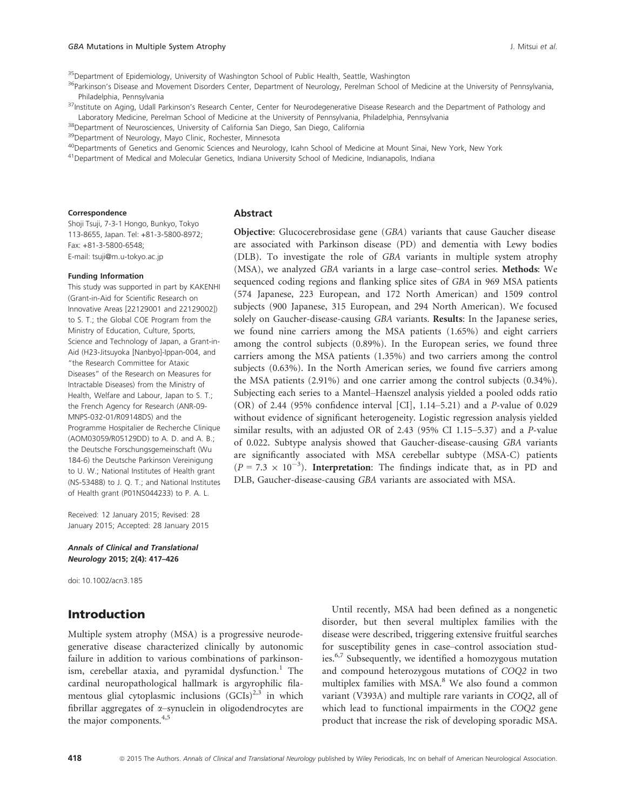<sup>35</sup>Department of Epidemiology, University of Washington School of Public Health, Seattle, Washington

<sup>36</sup>Parkinson's Disease and Movement Disorders Center, Department of Neurology, Perelman School of Medicine at the University of Pennsylvania, Philadelphia, Pennsylvania

<sup>37</sup>Institute on Aging, Udall Parkinson's Research Center, Center for Neurodegenerative Disease Research and the Department of Pathology and Laboratory Medicine, Perelman School of Medicine at the University of Pennsylvania, Philadelphia, Pennsylvania

38Department of Neurosciences, University of California San Diego, San Diego, California

<sup>39</sup>Department of Neurology, Mayo Clinic, Rochester, Minnesota

<sup>40</sup>Departments of Genetics and Genomic Sciences and Neurology, Icahn School of Medicine at Mount Sinai, New York, New York

41Department of Medical and Molecular Genetics, Indiana University School of Medicine, Indianapolis, Indiana

#### Correspondence

Abstract

Shoji Tsuji, 7-3-1 Hongo, Bunkyo, Tokyo 113-8655, Japan. Tel: +81-3-5800-8972; Fax: +81-3-5800-6548; E-mail: tsuji@m.u-tokyo.ac.jp

#### Funding Information

This study was supported in part by KAKENHI (Grant-in-Aid for Scientific Research on Innovative Areas [22129001 and 22129002]) to S. T.; the Global COE Program from the Ministry of Education, Culture, Sports, Science and Technology of Japan, a Grant-in-Aid (H23-Jitsuyoka [Nanbyo]-Ippan-004, and "the Research Committee for Ataxic Diseases" of the Research on Measures for Intractable Diseases) from the Ministry of Health, Welfare and Labour, Japan to S. T.; the French Agency for Research (ANR-09- MNPS-032-01/R09148DS) and the Programme Hospitalier de Recherche Clinique (AOM03059/R05129DD) to A. D. and A. B.; the Deutsche Forschungsgemeinschaft (Wu 184-6) the Deutsche Parkinson Vereinigung to U. W.; National Institutes of Health grant (NS-53488) to J. Q. T.; and National Institutes of Health grant (P01NS044233) to P. A. L.

Received: 12 January 2015; Revised: 28 January 2015; Accepted: 28 January 2015

Annals of Clinical and Translational Neurology 2015; 2(4): 417–426

doi: 10.1002/acn3.185

# Introduction

Multiple system atrophy (MSA) is a progressive neurodegenerative disease characterized clinically by autonomic failure in addition to various combinations of parkinsonism, cerebellar ataxia, and pyramidal dysfunction.<sup>1</sup> The cardinal neuropathological hallmark is argyrophilic filamentous glial cytoplasmic inclusions  $(GCIs)^{2,3}$  in which fibrillar aggregates of  $\alpha$ -synuclein in oligodendrocytes are the major components. $4,5$ 

Until recently, MSA had been defined as a nongenetic disorder, but then several multiplex families with the disease were described, triggering extensive fruitful searches for susceptibility genes in case–control association studies.6,7 Subsequently, we identified a homozygous mutation and compound heterozygous mutations of COQ2 in two multiplex families with MSA.<sup>8</sup> We also found a common variant (V393A) and multiple rare variants in COQ2, all of which lead to functional impairments in the COQ2 gene product that increase the risk of developing sporadic MSA.

**Objective:** Glucocerebrosidase gene (GBA) variants that cause Gaucher disease are associated with Parkinson disease (PD) and dementia with Lewy bodies (DLB). To investigate the role of GBA variants in multiple system atrophy (MSA), we analyzed GBA variants in a large case-control series. Methods: We sequenced coding regions and flanking splice sites of GBA in 969 MSA patients (574 Japanese, 223 European, and 172 North American) and 1509 control subjects (900 Japanese, 315 European, and 294 North American). We focused solely on Gaucher-disease-causing GBA variants. Results: In the Japanese series, we found nine carriers among the MSA patients (1.65%) and eight carriers among the control subjects (0.89%). In the European series, we found three carriers among the MSA patients (1.35%) and two carriers among the control subjects (0.63%). In the North American series, we found five carriers among the MSA patients (2.91%) and one carrier among the control subjects (0.34%). Subjecting each series to a Mantel–Haenszel analysis yielded a pooled odds ratio (OR) of 2.44 (95% confidence interval [CI], 1.14–5.21) and a P-value of 0.029 without evidence of significant heterogeneity. Logistic regression analysis yielded similar results, with an adjusted OR of 2.43 (95% CI 1.15–5.37) and a P-value of 0.022. Subtype analysis showed that Gaucher-disease-causing GBA variants are significantly associated with MSA cerebellar subtype (MSA-C) patients  $(P = 7.3 \times 10^{-3})$ . Interpretation: The findings indicate that, as in PD and DLB, Gaucher-disease-causing GBA variants are associated with MSA.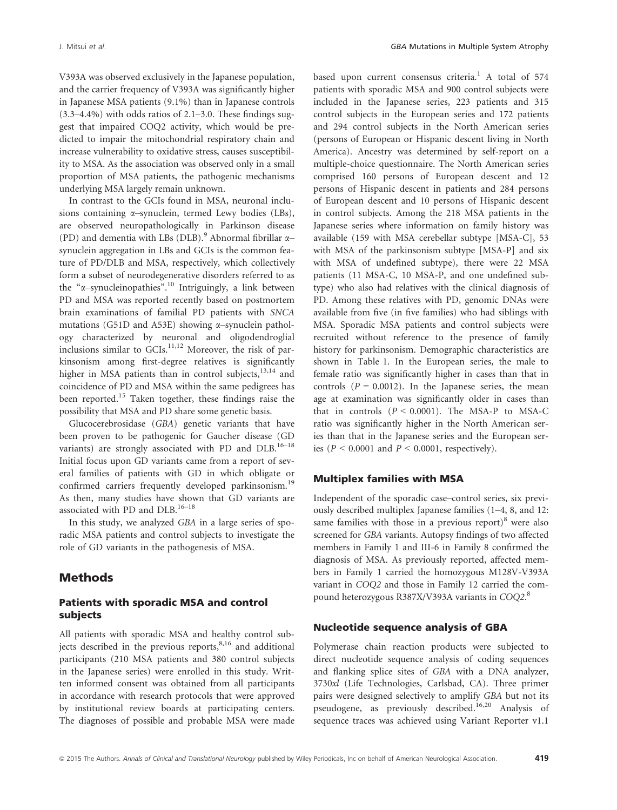V393A was observed exclusively in the Japanese population, and the carrier frequency of V393A was significantly higher in Japanese MSA patients (9.1%) than in Japanese controls  $(3.3-4.4\%)$  with odds ratios of 2.1–3.0. These findings suggest that impaired COQ2 activity, which would be predicted to impair the mitochondrial respiratory chain and increase vulnerability to oxidative stress, causes susceptibility to MSA. As the association was observed only in a small proportion of MSA patients, the pathogenic mechanisms underlying MSA largely remain unknown.

In contrast to the GCIs found in MSA, neuronal inclusions containing  $\alpha$ -synuclein, termed Lewy bodies (LBs), are observed neuropathologically in Parkinson disease (PD) and dementia with LBs (DLB).<sup>9</sup> Abnormal fibrillar  $\alpha$ – synuclein aggregation in LBs and GCIs is the common feature of PD/DLB and MSA, respectively, which collectively form a subset of neurodegenerative disorders referred to as the " $\alpha$ -synucleinopathies".<sup>10</sup> Intriguingly, a link between PD and MSA was reported recently based on postmortem brain examinations of familial PD patients with SNCA mutations (G51D and A53E) showing  $\alpha$ -synuclein pathology characterized by neuronal and oligodendroglial inclusions similar to  $GCIs$ <sup>11,12</sup> Moreover, the risk of parkinsonism among first-degree relatives is significantly higher in MSA patients than in control subjects, $13,14$  and coincidence of PD and MSA within the same pedigrees has been reported.<sup>15</sup> Taken together, these findings raise the possibility that MSA and PD share some genetic basis.

Glucocerebrosidase (GBA) genetic variants that have been proven to be pathogenic for Gaucher disease (GD variants) are strongly associated with PD and  $DLB$ .<sup>16–18</sup> Initial focus upon GD variants came from a report of several families of patients with GD in which obligate or confirmed carriers frequently developed parkinsonism.<sup>19</sup> As then, many studies have shown that GD variants are associated with PD and DLB. $16-18$ 

In this study, we analyzed GBA in a large series of sporadic MSA patients and control subjects to investigate the role of GD variants in the pathogenesis of MSA.

## **Methods**

## Patients with sporadic MSA and control subjects

All patients with sporadic MSA and healthy control subjects described in the previous reports,<sup>8,16</sup> and additional participants (210 MSA patients and 380 control subjects in the Japanese series) were enrolled in this study. Written informed consent was obtained from all participants in accordance with research protocols that were approved by institutional review boards at participating centers. The diagnoses of possible and probable MSA were made based upon current consensus criteria.<sup>1</sup> A total of 574 patients with sporadic MSA and 900 control subjects were included in the Japanese series, 223 patients and 315 control subjects in the European series and 172 patients and 294 control subjects in the North American series (persons of European or Hispanic descent living in North America). Ancestry was determined by self-report on a multiple-choice questionnaire. The North American series comprised 160 persons of European descent and 12 persons of Hispanic descent in patients and 284 persons of European descent and 10 persons of Hispanic descent in control subjects. Among the 218 MSA patients in the Japanese series where information on family history was available (159 with MSA cerebellar subtype [MSA-C], 53 with MSA of the parkinsonism subtype [MSA-P] and six with MSA of undefined subtype), there were 22 MSA patients (11 MSA-C, 10 MSA-P, and one undefined subtype) who also had relatives with the clinical diagnosis of PD. Among these relatives with PD, genomic DNAs were available from five (in five families) who had siblings with MSA. Sporadic MSA patients and control subjects were recruited without reference to the presence of family history for parkinsonism. Demographic characteristics are shown in Table 1. In the European series, the male to female ratio was significantly higher in cases than that in controls  $(P = 0.0012)$ . In the Japanese series, the mean age at examination was significantly older in cases than that in controls  $(P < 0.0001)$ . The MSA-P to MSA-C ratio was significantly higher in the North American series than that in the Japanese series and the European series ( $P \le 0.0001$  and  $P \le 0.0001$ , respectively).

## Multiplex families with MSA

Independent of the sporadic case–control series, six previously described multiplex Japanese families (1–4, 8, and 12: same families with those in a previous  $report)^8$  were also screened for GBA variants. Autopsy findings of two affected members in Family 1 and III-6 in Family 8 confirmed the diagnosis of MSA. As previously reported, affected members in Family 1 carried the homozygous M128V-V393A variant in COQ2 and those in Family 12 carried the compound heterozygous R387X/V393A variants in COQ2.<sup>8</sup>

## Nucleotide sequence analysis of GBA

Polymerase chain reaction products were subjected to direct nucleotide sequence analysis of coding sequences and flanking splice sites of GBA with a DNA analyzer, 3730xl (Life Technologies, Carlsbad, CA). Three primer pairs were designed selectively to amplify GBA but not its pseudogene, as previously described.<sup>16,20</sup> Analysis of sequence traces was achieved using Variant Reporter v1.1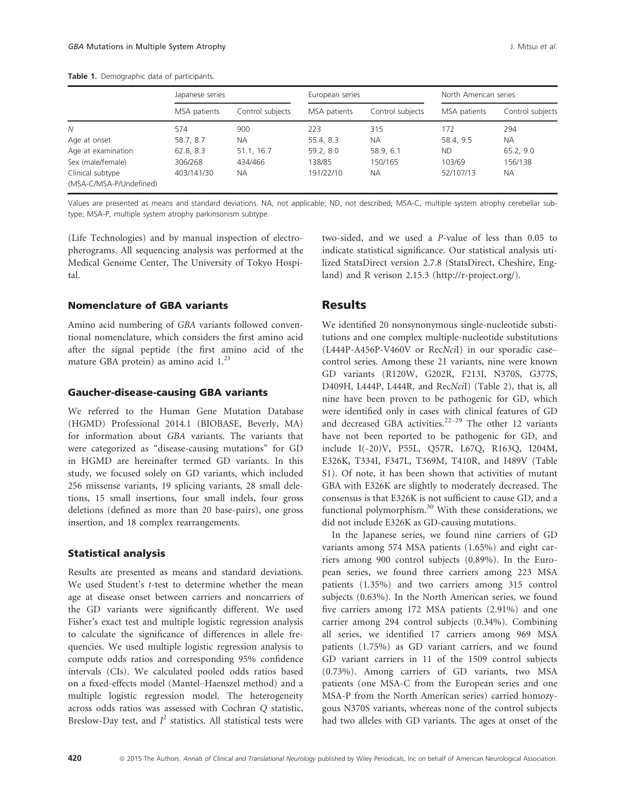|                                             | Japanese series |                  | European series |                  | North American series |                  |  |
|---------------------------------------------|-----------------|------------------|-----------------|------------------|-----------------------|------------------|--|
|                                             | MSA patients    | Control subjects | MSA patients    | Control subjects | MSA patients          | Control subjects |  |
| N                                           | 574             | 900              | 223             | 315              | 172                   | 294              |  |
| Age at onset                                | 58.7, 8.7       | <b>NA</b>        | 55.4, 8.3       | <b>NA</b>        | 58.4, 9.5             | <b>NA</b>        |  |
| Age at examination                          | 62.8, 8.3       | 51.1, 16.7       | 59.2, 8.0       | 58.9, 6.1        | <b>ND</b>             | 65.2, 9.0        |  |
| Sex (male/female)                           | 306/268         | 434/466          | 138/85          | 150/165          | 103/69                | 156/138          |  |
| Clinical subtype<br>(MSA-C/MSA-P/Undefined) | 403/141/30      | <b>NA</b>        | 191/22/10       | <b>NA</b>        | 52/107/13             | <b>NA</b>        |  |

Values are presented as means and standard deviations. NA, not applicable; ND, not described; MSA-C, multiple system atrophy cerebellar subtype; MSA-P, multiple system atrophy parkinsonism subtype.

(Life Technologies) and by manual inspection of electropherograms. All sequencing analysis was performed at the Medical Genome Center, The University of Tokyo Hospital.

## Nomenclature of GBA variants

Amino acid numbering of GBA variants followed conventional nomenclature, which considers the first amino acid after the signal peptide (the first amino acid of the mature GBA protein) as amino acid  $1.^{21}$ .

## Gaucher-disease-causing GBA variants

We referred to the Human Gene Mutation Database (HGMD) Professional 2014.1 (BIOBASE, Beverly, MA) for information about GBA variants. The variants that were categorized as "disease-causing mutations" for GD in HGMD are hereinafter termed GD variants. In this study, we focused solely on GD variants, which included 256 missense variants, 19 splicing variants, 28 small deletions, 15 small insertions, four small indels, four gross deletions (defined as more than 20 base-pairs), one gross insertion, and 18 complex rearrangements.

#### Statistical analysis

Results are presented as means and standard deviations. We used Student's *t*-test to determine whether the mean age at disease onset between carriers and noncarriers of the GD variants were significantly different. We used Fisher's exact test and multiple logistic regression analysis to calculate the significance of differences in allele frequencies. We used multiple logistic regression analysis to compute odds ratios and corresponding 95% confidence intervals (CIs). We calculated pooled odds ratios based on a fixed-effects model (Mantel–Haenszel method) and a multiple logistic regression model. The heterogeneity across odds ratios was assessed with Cochran Q statistic, Breslow-Day test, and  $I^2$  statistics. All statistical tests were

two-sided, and we used a P-value of less than 0.05 to indicate statistical significance. Our statistical analysis utilized StatsDirect version 2.7.8 (StatsDirect, Cheshire, England) and R verison 2.15.3 ([http://r-project.org/\)](http://r-project.org/).

## Results

We identified 20 nonsynonymous single-nucleotide substitutions and one complex multiple-nucleotide substitutions (L444P-A456P-V460V or RecNciI) in our sporadic case– control series. Among these 21 variants, nine were known GD variants (R120W, G202R, F213I, N370S, G377S, D409H, L444P, L444R, and RecNciI) (Table 2), that is, all nine have been proven to be pathogenic for GD, which were identified only in cases with clinical features of GD and decreased GBA activities.<sup>22–29</sup> The other 12 variants have not been reported to be pathogenic for GD, and include I(-20)V, P55L, Q57R, L67Q, R163Q, I204M, E326K, T334I, F347L, T369M, T410R, and I489V (Table S1). Of note, it has been shown that activities of mutant GBA with E326K are slightly to moderately decreased. The consensus is that E326K is not sufficient to cause GD, and a functional polymorphism.<sup>30</sup> With these considerations, we did not include E326K as GD-causing mutations.

In the Japanese series, we found nine carriers of GD variants among 574 MSA patients (1.65%) and eight carriers among 900 control subjects (0.89%). In the European series, we found three carriers among 223 MSA patients (1.35%) and two carriers among 315 control subjects (0.63%). In the North American series, we found five carriers among 172 MSA patients (2.91%) and one carrier among 294 control subjects (0.34%). Combining all series, we identified 17 carriers among 969 MSA patients (1.75%) as GD variant carriers, and we found GD variant carriers in 11 of the 1509 control subjects (0.73%). Among carriers of GD variants, two MSA patients (one MSA-C from the European series and one MSA-P from the North American series) carried homozygous N370S variants, whereas none of the control subjects had two alleles with GD variants. The ages at onset of the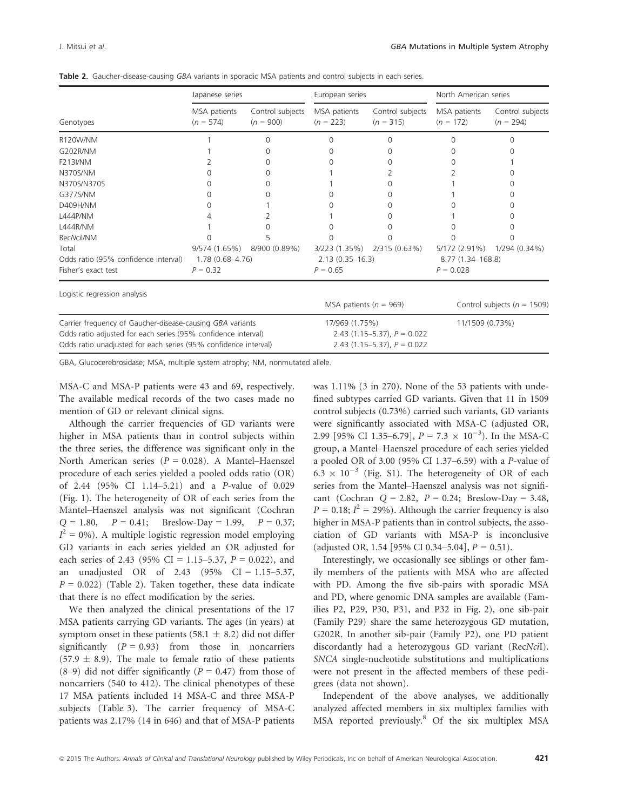Control subjects

|                                                                                                       | Japanese series |                         | European series |                                                                                         | North American series |               |  |
|-------------------------------------------------------------------------------------------------------|-----------------|-------------------------|-----------------|-----------------------------------------------------------------------------------------|-----------------------|---------------|--|
| Genotypes                                                                                             | $(n = 574)$     | $(n = 900)$ $(n = 223)$ |                 | MSA patients Control subjects MSA patients Control subjects MSA patients<br>$(n = 315)$ | $(n = 172)$           | Con<br>$(n =$ |  |
| $\bigcap$ 1 $\bigcap$ $\bigcap$ $\bigcap$ $\bigcap$ $\bigcap$ $\bigcap$ $\bigcap$ $\bigcap$ $\bigcap$ |                 |                         |                 |                                                                                         |                       |               |  |

|  |  |  | <b>Table 2.</b> Gaucher-disease-causing GBA variants in sporadic MSA patients and control subjects in each series. |  |  |  |  |  |  |  |  |  |  |  |  |  |
|--|--|--|--------------------------------------------------------------------------------------------------------------------|--|--|--|--|--|--|--|--|--|--|--|--|--|
|--|--|--|--------------------------------------------------------------------------------------------------------------------|--|--|--|--|--|--|--|--|--|--|--|--|--|

| Genotypes                                                       | $(n = 574)$      | $(n = 900)$                      | $(n = 223)$                | $(n = 315)$                      | $(n = 172)$                     | $(n = 294)$   |  |
|-----------------------------------------------------------------|------------------|----------------------------------|----------------------------|----------------------------------|---------------------------------|---------------|--|
| R120W/NM                                                        |                  |                                  |                            |                                  |                                 |               |  |
| G202R/NM                                                        |                  |                                  |                            |                                  |                                 |               |  |
| <b>F213I/NM</b>                                                 |                  |                                  |                            |                                  |                                 |               |  |
| N370S/NM                                                        |                  |                                  |                            |                                  |                                 |               |  |
| N370S/N370S                                                     |                  |                                  |                            |                                  |                                 |               |  |
| G377S/NM                                                        |                  |                                  |                            |                                  |                                 |               |  |
| D409H/NM                                                        |                  |                                  |                            |                                  |                                 |               |  |
| L444P/NM                                                        |                  |                                  |                            |                                  |                                 |               |  |
| <b>L444R/NM</b>                                                 |                  |                                  |                            |                                  |                                 |               |  |
| RecNcil/NM                                                      |                  |                                  |                            |                                  |                                 |               |  |
| Total                                                           | 9/574 (1.65%)    | 8/900 (0.89%)                    | 3/223 (1.35%)              | 2/315 (0.63%)                    | 5/172 (2.91%)                   | 1/294 (0.34%) |  |
| Odds ratio (95% confidence interval)                            | 1.78 (0.68-4.76) | $2.13(0.35 - 16.3)$              |                            | 8.77 (1.34–168.8)                |                                 |               |  |
| Fisher's exact test                                             | $P = 0.32$       |                                  | $P = 0.65$                 |                                  | $P = 0.028$                     |               |  |
| Logistic regression analysis                                    |                  |                                  |                            |                                  |                                 |               |  |
|                                                                 |                  |                                  | MSA patients ( $n = 969$ ) |                                  | Control subjects ( $n = 1509$ ) |               |  |
| Carrier frequency of Gaucher-disease-causing GBA variants       |                  |                                  | 17/969 (1.75%)             |                                  | 11/1509 (0.73%)                 |               |  |
| Odds ratio adjusted for each series (95% confidence interval)   |                  |                                  |                            | 2.43 $(1.15-5.37)$ , $P = 0.022$ |                                 |               |  |
| Odds ratio unadjusted for each series (95% confidence interval) |                  | 2.43 $(1.15-5.37)$ , $P = 0.022$ |                            |                                  |                                 |               |  |

GBA, Glucocerebrosidase; MSA, multiple system atrophy; NM, nonmutated allele.

MSA-C and MSA-P patients were 43 and 69, respectively. The available medical records of the two cases made no mention of GD or relevant clinical signs.

Although the carrier frequencies of GD variants were higher in MSA patients than in control subjects within the three series, the difference was significant only in the North American series ( $P = 0.028$ ). A Mantel–Haenszel procedure of each series yielded a pooled odds ratio (OR) of 2.44 (95% CI 1.14–5.21) and a P-value of 0.029 (Fig. 1). The heterogeneity of OR of each series from the Mantel–Haenszel analysis was not significant (Cochran  $Q = 1.80$ ,  $P = 0.41$ ; Breslow-Day = 1.99,  $P = 0.37$ ;  $I^2 = 0\%$ ). A multiple logistic regression model employing GD variants in each series yielded an OR adjusted for each series of 2.43 (95% CI = 1.15–5.37,  $P = 0.022$ ), and an unadjusted OR of 2.43 (95% CI =  $1.15 - 5.37$ ,  $P = 0.022$ ) (Table 2). Taken together, these data indicate that there is no effect modification by the series.

We then analyzed the clinical presentations of the 17 MSA patients carrying GD variants. The ages (in years) at symptom onset in these patients (58.1  $\pm$  8.2) did not differ significantly  $(P = 0.93)$  from those in noncarriers  $(57.9 \pm 8.9)$ . The male to female ratio of these patients  $(8-9)$  did not differ significantly  $(P = 0.47)$  from those of noncarriers (540 to 412). The clinical phenotypes of these 17 MSA patients included 14 MSA-C and three MSA-P subjects (Table 3). The carrier frequency of MSA-C patients was 2.17% (14 in 646) and that of MSA-P patients was 1.11% (3 in 270). None of the 53 patients with undefined subtypes carried GD variants. Given that 11 in 1509 control subjects (0.73%) carried such variants, GD variants were significantly associated with MSA-C (adjusted OR, 2.99 [95% CI 1.35–6.79],  $P = 7.3 \times 10^{-3}$ ). In the MSA-C group, a Mantel–Haenszel procedure of each series yielded a pooled OR of 3.00 (95% CI 1.37–6.59) with a P-value of  $6.3 \times 10^{-3}$  (Fig. S1). The heterogeneity of OR of each series from the Mantel–Haenszel analysis was not significant (Cochran  $Q = 2.82$ ,  $P = 0.24$ ; Breslow-Day = 3.48,  $P = 0.18$ ;  $I^2 = 29\%$ ). Although the carrier frequency is also higher in MSA-P patients than in control subjects, the association of GD variants with MSA-P is inconclusive (adjusted OR, 1.54 [95% CI 0.34–5.04],  $P = 0.51$ ).

Interestingly, we occasionally see siblings or other family members of the patients with MSA who are affected with PD. Among the five sib-pairs with sporadic MSA and PD, where genomic DNA samples are available (Families P2, P29, P30, P31, and P32 in Fig. 2), one sib-pair (Family P29) share the same heterozygous GD mutation, G202R. In another sib-pair (Family P2), one PD patient discordantly had a heterozygous GD variant (RecNciI). SNCA single-nucleotide substitutions and multiplications were not present in the affected members of these pedigrees (data not shown).

Independent of the above analyses, we additionally analyzed affected members in six multiplex families with MSA reported previously.<sup>8</sup> Of the six multiplex MSA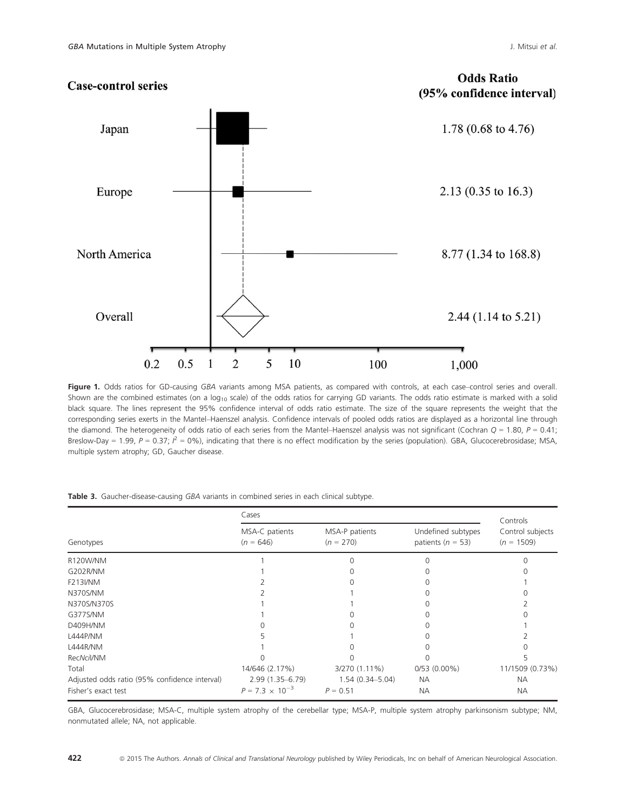

Figure 1. Odds ratios for GD-causing GBA variants among MSA patients, as compared with controls, at each case–control series and overall. Shown are the combined estimates (on a  $log_{10}$  scale) of the odds ratios for carrying GD variants. The odds ratio estimate is marked with a solid black square. The lines represent the 95% confidence interval of odds ratio estimate. The size of the square represents the weight that the corresponding series exerts in the Mantel–Haenszel analysis. Confidence intervals of pooled odds ratios are displayed as a horizontal line through the diamond. The heterogeneity of odds ratio of each series from the Mantel–Haenszel analysis was not significant (Cochran  $Q = 1.80$ ,  $P = 0.41$ ; Breslow-Day = 1.99, P = 0.37;  $P^2 = 0\%$ ), indicating that there is no effect modification by the series (population). GBA, Glucocerebrosidase; MSA, multiple system atrophy; GD, Gaucher disease.

|                                               | Cases                         |                               |                                             |                                              |  |  |  |  |
|-----------------------------------------------|-------------------------------|-------------------------------|---------------------------------------------|----------------------------------------------|--|--|--|--|
| Genotypes                                     | MSA-C patients<br>$(n = 646)$ | MSA-P patients<br>$(n = 270)$ | Undefined subtypes<br>patients ( $n = 53$ ) | Controls<br>Control subjects<br>$(n = 1509)$ |  |  |  |  |
| R120W/NM                                      |                               |                               |                                             |                                              |  |  |  |  |
| G202R/NM                                      |                               |                               |                                             |                                              |  |  |  |  |
| <b>F213I/NM</b>                               |                               |                               |                                             |                                              |  |  |  |  |
| N370S/NM                                      |                               |                               |                                             |                                              |  |  |  |  |
| N370S/N370S                                   |                               |                               |                                             |                                              |  |  |  |  |
| G377S/NM                                      |                               |                               |                                             |                                              |  |  |  |  |
| D409H/NM                                      |                               |                               |                                             |                                              |  |  |  |  |
| L444P/NM                                      |                               |                               |                                             |                                              |  |  |  |  |
| L444R/NM                                      |                               |                               |                                             |                                              |  |  |  |  |
| RecNcil/NM                                    |                               |                               |                                             |                                              |  |  |  |  |
| Total                                         | 14/646 (2.17%)                | 3/270 (1.11%)                 | $0/53(0.00\%)$                              | 11/1509 (0.73%)                              |  |  |  |  |
| Adjusted odds ratio (95% confidence interval) | $2.99(1.35 - 6.79)$           | $1.54(0.34 - 5.04)$           | <b>NA</b>                                   | <b>NA</b>                                    |  |  |  |  |
| Fisher's exact test                           | $P = 7.3 \times 10^{-3}$      | $P = 0.51$                    | <b>NA</b>                                   | <b>NA</b>                                    |  |  |  |  |

Table 3. Gaucher-disease-causing GBA variants in combined series in each clinical subtype.

GBA, Glucocerebrosidase; MSA-C, multiple system atrophy of the cerebellar type; MSA-P, multiple system atrophy parkinsonism subtype; NM, nonmutated allele; NA, not applicable.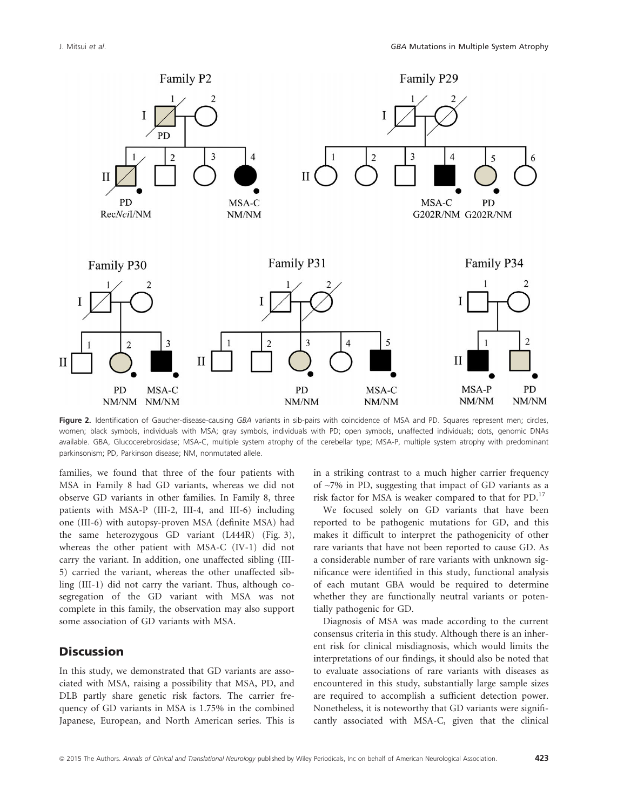

Figure 2. Identification of Gaucher-disease-causing GBA variants in sib-pairs with coincidence of MSA and PD. Squares represent men; circles, women; black symbols, individuals with MSA; gray symbols, individuals with PD; open symbols, unaffected individuals; dots, genomic DNAs available. GBA, Glucocerebrosidase; MSA-C, multiple system atrophy of the cerebellar type; MSA-P, multiple system atrophy with predominant parkinsonism; PD, Parkinson disease; NM, nonmutated allele.

families, we found that three of the four patients with MSA in Family 8 had GD variants, whereas we did not observe GD variants in other families. In Family 8, three patients with MSA-P (III-2, III-4, and III-6) including one (III-6) with autopsy-proven MSA (definite MSA) had the same heterozygous GD variant (L444R) (Fig. 3), whereas the other patient with MSA-C (IV-1) did not carry the variant. In addition, one unaffected sibling (III-5) carried the variant, whereas the other unaffected sibling (III-1) did not carry the variant. Thus, although cosegregation of the GD variant with MSA was not complete in this family, the observation may also support some association of GD variants with MSA.

# **Discussion**

In this study, we demonstrated that GD variants are associated with MSA, raising a possibility that MSA, PD, and DLB partly share genetic risk factors. The carrier frequency of GD variants in MSA is 1.75% in the combined Japanese, European, and North American series. This is in a striking contrast to a much higher carrier frequency of  $\sim$ 7% in PD, suggesting that impact of GD variants as a risk factor for MSA is weaker compared to that for PD.<sup>17</sup>

We focused solely on GD variants that have been reported to be pathogenic mutations for GD, and this makes it difficult to interpret the pathogenicity of other rare variants that have not been reported to cause GD. As a considerable number of rare variants with unknown significance were identified in this study, functional analysis of each mutant GBA would be required to determine whether they are functionally neutral variants or potentially pathogenic for GD.

Diagnosis of MSA was made according to the current consensus criteria in this study. Although there is an inherent risk for clinical misdiagnosis, which would limits the interpretations of our findings, it should also be noted that to evaluate associations of rare variants with diseases as encountered in this study, substantially large sample sizes are required to accomplish a sufficient detection power. Nonetheless, it is noteworthy that GD variants were significantly associated with MSA-C, given that the clinical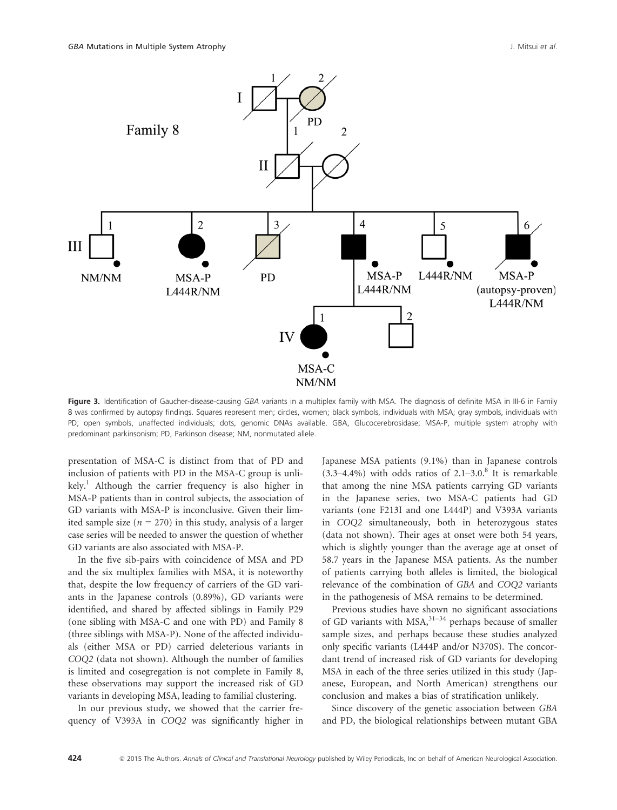

Figure 3. Identification of Gaucher-disease-causing GBA variants in a multiplex family with MSA. The diagnosis of definite MSA in III-6 in Family 8 was confirmed by autopsy findings. Squares represent men; circles, women; black symbols, individuals with MSA; gray symbols, individuals with PD; open symbols, unaffected individuals; dots, genomic DNAs available. GBA, Glucocerebrosidase; MSA-P, multiple system atrophy with predominant parkinsonism; PD, Parkinson disease; NM, nonmutated allele.

presentation of MSA-C is distinct from that of PD and inclusion of patients with PD in the MSA-C group is unli $kely.<sup>1</sup>$  Although the carrier frequency is also higher in MSA-P patients than in control subjects, the association of GD variants with MSA-P is inconclusive. Given their limited sample size ( $n = 270$ ) in this study, analysis of a larger case series will be needed to answer the question of whether GD variants are also associated with MSA-P.

In the five sib-pairs with coincidence of MSA and PD and the six multiplex families with MSA, it is noteworthy that, despite the low frequency of carriers of the GD variants in the Japanese controls (0.89%), GD variants were identified, and shared by affected siblings in Family P29 (one sibling with MSA-C and one with PD) and Family 8 (three siblings with MSA-P). None of the affected individuals (either MSA or PD) carried deleterious variants in COQ2 (data not shown). Although the number of families is limited and cosegregation is not complete in Family 8, these observations may support the increased risk of GD variants in developing MSA, leading to familial clustering.

In our previous study, we showed that the carrier frequency of V393A in COQ2 was significantly higher in Japanese MSA patients (9.1%) than in Japanese controls  $(3.3-4.4\%)$  with odds ratios of  $2.1-3.0$ .<sup>8</sup> It is remarkable that among the nine MSA patients carrying GD variants in the Japanese series, two MSA-C patients had GD variants (one F213I and one L444P) and V393A variants in COQ2 simultaneously, both in heterozygous states (data not shown). Their ages at onset were both 54 years, which is slightly younger than the average age at onset of 58.7 years in the Japanese MSA patients. As the number of patients carrying both alleles is limited, the biological relevance of the combination of GBA and COQ2 variants in the pathogenesis of MSA remains to be determined.

Previous studies have shown no significant associations of GD variants with  $MSA$ ,  $31-34$  perhaps because of smaller sample sizes, and perhaps because these studies analyzed only specific variants (L444P and/or N370S). The concordant trend of increased risk of GD variants for developing MSA in each of the three series utilized in this study (Japanese, European, and North American) strengthens our conclusion and makes a bias of stratification unlikely.

Since discovery of the genetic association between GBA and PD, the biological relationships between mutant GBA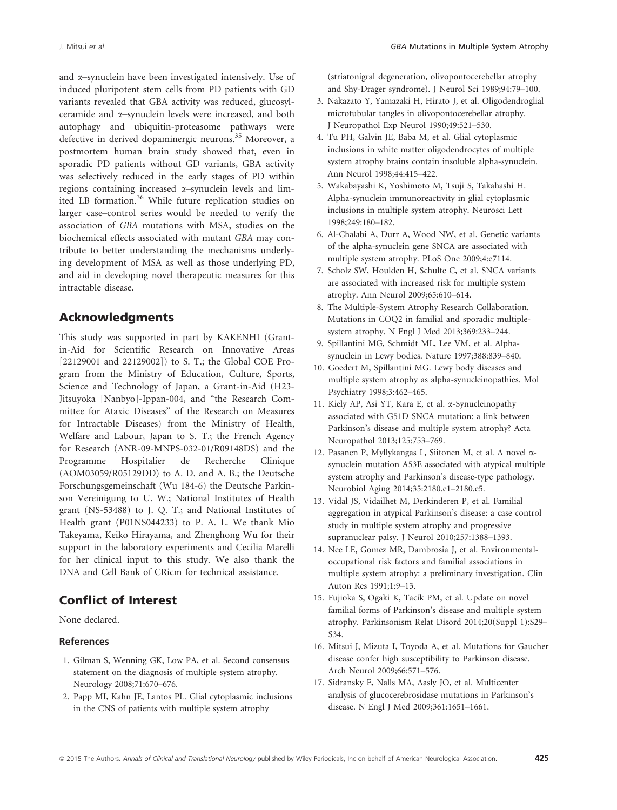and  $\alpha$ –synuclein have been investigated intensively. Use of induced pluripotent stem cells from PD patients with GD variants revealed that GBA activity was reduced, glucosylceramide and a–synuclein levels were increased, and both autophagy and ubiquitin-proteasome pathways were defective in derived dopaminergic neurons.<sup>35</sup> Moreover, a postmortem human brain study showed that, even in sporadic PD patients without GD variants, GBA activity was selectively reduced in the early stages of PD within regions containing increased  $\alpha$ –synuclein levels and limited LB formation.<sup>36</sup> While future replication studies on larger case–control series would be needed to verify the association of GBA mutations with MSA, studies on the biochemical effects associated with mutant GBA may contribute to better understanding the mechanisms underlying development of MSA as well as those underlying PD, and aid in developing novel therapeutic measures for this intractable disease.

# Acknowledgments

This study was supported in part by KAKENHI (Grantin-Aid for Scientific Research on Innovative Areas [22129001 and 22129002]) to S. T.; the Global COE Program from the Ministry of Education, Culture, Sports, Science and Technology of Japan, a Grant-in-Aid (H23- Jitsuyoka [Nanbyo]-Ippan-004, and "the Research Committee for Ataxic Diseases" of the Research on Measures for Intractable Diseases) from the Ministry of Health, Welfare and Labour, Japan to S. T.; the French Agency for Research (ANR-09-MNPS-032-01/R09148DS) and the Programme Hospitalier de Recherche Clinique (AOM03059/R05129DD) to A. D. and A. B.; the Deutsche Forschungsgemeinschaft (Wu 184-6) the Deutsche Parkinson Vereinigung to U. W.; National Institutes of Health grant (NS-53488) to J. Q. T.; and National Institutes of Health grant (P01NS044233) to P. A. L. We thank Mio Takeyama, Keiko Hirayama, and Zhenghong Wu for their support in the laboratory experiments and Cecilia Marelli for her clinical input to this study. We also thank the DNA and Cell Bank of CRicm for technical assistance.

# Conflict of Interest

None declared.

## References

- 1. Gilman S, Wenning GK, Low PA, et al. Second consensus statement on the diagnosis of multiple system atrophy. Neurology 2008;71:670–676.
- 2. Papp MI, Kahn JE, Lantos PL. Glial cytoplasmic inclusions in the CNS of patients with multiple system atrophy

(striatonigral degeneration, olivopontocerebellar atrophy and Shy-Drager syndrome). J Neurol Sci 1989;94:79–100.

- 3. Nakazato Y, Yamazaki H, Hirato J, et al. Oligodendroglial microtubular tangles in olivopontocerebellar atrophy. J Neuropathol Exp Neurol 1990;49:521–530.
- 4. Tu PH, Galvin JE, Baba M, et al. Glial cytoplasmic inclusions in white matter oligodendrocytes of multiple system atrophy brains contain insoluble alpha-synuclein. Ann Neurol 1998;44:415–422.
- 5. Wakabayashi K, Yoshimoto M, Tsuji S, Takahashi H. Alpha-synuclein immunoreactivity in glial cytoplasmic inclusions in multiple system atrophy. Neurosci Lett 1998;249:180–182.
- 6. Al-Chalabi A, Durr A, Wood NW, et al. Genetic variants of the alpha-synuclein gene SNCA are associated with multiple system atrophy. PLoS One 2009;4:e7114.
- 7. Scholz SW, Houlden H, Schulte C, et al. SNCA variants are associated with increased risk for multiple system atrophy. Ann Neurol 2009;65:610–614.
- 8. The Multiple-System Atrophy Research Collaboration. Mutations in COQ2 in familial and sporadic multiplesystem atrophy. N Engl J Med 2013;369:233–244.
- 9. Spillantini MG, Schmidt ML, Lee VM, et al. Alphasynuclein in Lewy bodies. Nature 1997;388:839–840.
- 10. Goedert M, Spillantini MG. Lewy body diseases and multiple system atrophy as alpha-synucleinopathies. Mol Psychiatry 1998;3:462–465.
- 11. Kiely AP, Asi YT, Kara E, et al. a-Synucleinopathy associated with G51D SNCA mutation: a link between Parkinson's disease and multiple system atrophy? Acta Neuropathol 2013;125:753–769.
- 12. Pasanen P, Myllykangas L, Siitonen M, et al. A novel asynuclein mutation A53E associated with atypical multiple system atrophy and Parkinson's disease-type pathology. Neurobiol Aging 2014;35:2180.e1–2180.e5.
- 13. Vidal JS, Vidailhet M, Derkinderen P, et al. Familial aggregation in atypical Parkinson's disease: a case control study in multiple system atrophy and progressive supranuclear palsy. J Neurol 2010;257:1388–1393.
- 14. Nee LE, Gomez MR, Dambrosia J, et al. Environmentaloccupational risk factors and familial associations in multiple system atrophy: a preliminary investigation. Clin Auton Res 1991;1:9–13.
- 15. Fujioka S, Ogaki K, Tacik PM, et al. Update on novel familial forms of Parkinson's disease and multiple system atrophy. Parkinsonism Relat Disord 2014;20(Suppl 1):S29– S34.
- 16. Mitsui J, Mizuta I, Toyoda A, et al. Mutations for Gaucher disease confer high susceptibility to Parkinson disease. Arch Neurol 2009;66:571–576.
- 17. Sidransky E, Nalls MA, Aasly JO, et al. Multicenter analysis of glucocerebrosidase mutations in Parkinson's disease. N Engl J Med 2009;361:1651–1661.